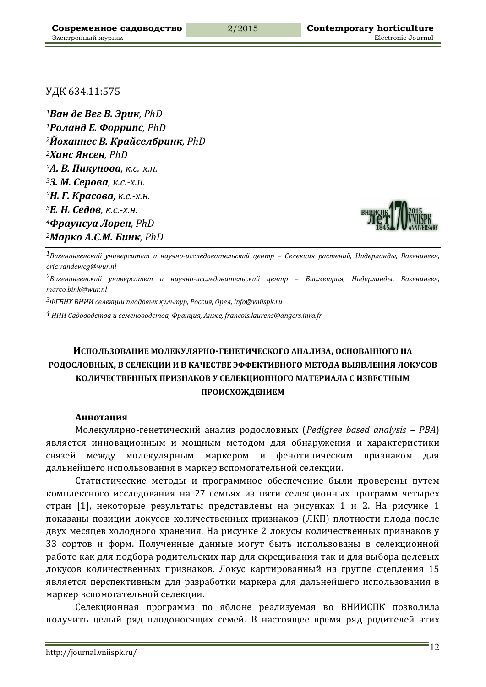УДК 634.11:575

*Ван де Вег В. Эрик, PhD Роланд Е. Форрипс, PhD Йоханнес В. Крайселбринк, PhD Ханс Янсен, PhD А. В. Пикунова, к.с.-х.н. З. М. Серова, к.с.-х.н. Н. Г. Красова, к.с.-х.н. Е. Н. Седов, к.с.-х.н. Фраунсуа Лорен, PhD Марко А.С.М. Бинк, PhD*



*1Вагенингенский университет и научно-исследовательский центр – Селекция растений, Нидерланды, Вагенинген, eric.vandeweg@wur.nl*

*2Вагенингенский университет и научно-исследовательский центр – Биометрия, Нидерланды, Вагенинген, marco.bink@wur.nl*

*3ФГБНУ ВНИИ селекции плодовых культур, Россия, Орел, info@vniispk.ru*

*4 НИИ Садоводства и семеноводства, Франция, Анже, francois.laurens@angers.inra.fr*

# **ИСПОЛЬЗОВАНИЕ МОЛЕКУЛЯРНО-ГЕНЕТИЧЕСКОГО АНАЛИЗА, ОСНОВАННОГО НА РОДОСЛОВНЫХ, В СЕЛЕКЦИИ И В КАЧЕСТВЕ ЭФФЕКТИВНОГО МЕТОДА ВЫЯВЛЕНИЯ ЛОКУСОВ КОЛИЧЕСТВЕННЫХ ПРИЗНАКОВ У СЕЛЕКЦИОННОГО МАТЕРИАЛА С ИЗВЕСТНЫМ ПРОИСХОЖДЕНИЕМ**

#### **Аннотация**

Молекулярно-генетический анализ родословных (*Pedigree based analysis – PBA*) является инновационным и мощным методом для обнаружения и характеристики связей между молекулярным маркером и фенотипическим признаком для дальнейшего использования в маркер вспомогательной селекции.

Статистические методы и программное обеспечение были проверены путем комплексного исследования на 27 семьях из пяти селекционных программ четырех стран [1], некоторые результаты представлены на рисунках 1 и 2. На рисунке 1 показаны позиции локусов количественных признаков (ЛКП) плотности плода после двух месяцев холодного хранения. На рисунке 2 локусы количественных признаков у ЗЗ сортов и форм. Полученные данные могут быть использованы в селекционной работе как для подбора родительских пар для скрещивания так и для выбора целевых локусов количественных признаков. Локус картированный на группе сцепления 15 является перспективным для разработки маркера для дальнейшего использования в маркер вспомогательной селекции.

Селекционная программа по яблоне реализуемая во ВНИИСПК позволила получить целый ряд плодоносящих семей. В настоящее время ряд родителей этих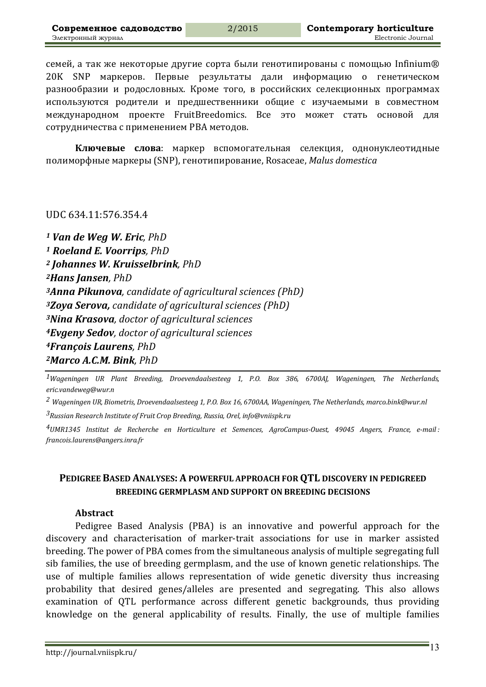семей, а так же некоторые другие сорта были генотипированы с помощью Infinium® 20K SNP маркеров. Первые результаты дали информацию о генетическом разнообразии и родословных. Кроме того, в российских селекционных программах используются родители и предшественники общие с изучаемыми в совместном международном проекте FruitBreedomics. Все это может стать основой для сотрудничества с применением РВА методов.

**Ключевые слова**: маркер вспомогательная селекция, однонуклеотидные полиморфные маркеры (SNP), генотипирование, Rosaceae, *Malus domestica*

## UDC 634.11:576.354.4

*<sup>1</sup> Van de Weg W. Eric, PhD <sup>1</sup> Roeland E. Voorrips, PhD <sup>2</sup> Johannes W. Kruisselbrink, PhD 2Hans Jansen, PhD 3Anna Pikunova, candidate of agricultural sciences (PhD) 3Zoya Serova, candidate of agricultural sciences (PhD) 3Nina Krasova, doctor of agricultural sciences 4Evgeny Sedov, doctor of agricultural sciences 4François Laurens, PhD 2Marco А.С.М. Bink, PhD*

*1Wageningen UR Plant Breeding, Droevendaalsesteeg 1, P.O. Box 386, 6700AJ, Wageningen, The Netherlands, eric.vandeweg@wur.n*

*2 Wageningen UR, Biometris, Droevendaalsesteeg 1, P.O. Box 16, 6700AA, Wageningen, The Netherlands, marco.bink@wur.nl*

*3Russian Research Institute of Fruit Crop Breeding, Russia, Orel, info@vniispk.ru*

*4UMR1345 Institut de Recherche en Horticulture et Semences, AgroCampus-Ouest, 49045 Angers, France, e-mail : francois.laurens@angers.inra.fr*

# **PEDIGREE BASED ANALYSES: A POWERFUL APPROACH FOR QTL DISCOVERY IN PEDIGREED BREEDING GERMPLASM AND SUPPORT ON BREEDING DECISIONS**

#### **Abstract**

Pedigree Based Analysis (PBA) is an innovative and powerful approach for the discovery and characterisation of marker-trait associations for use in marker assisted breeding. The power of PBA comes from the simultaneous analysis of multiple segregating full sib families, the use of breeding germplasm, and the use of known genetic relationships. The use of multiple families allows representation of wide genetic diversity thus increasing probability that desired genes/alleles are presented and segregating. This also allows examination of QTL performance across different genetic backgrounds, thus providing knowledge on the general applicability of results. Finally, the use of multiple families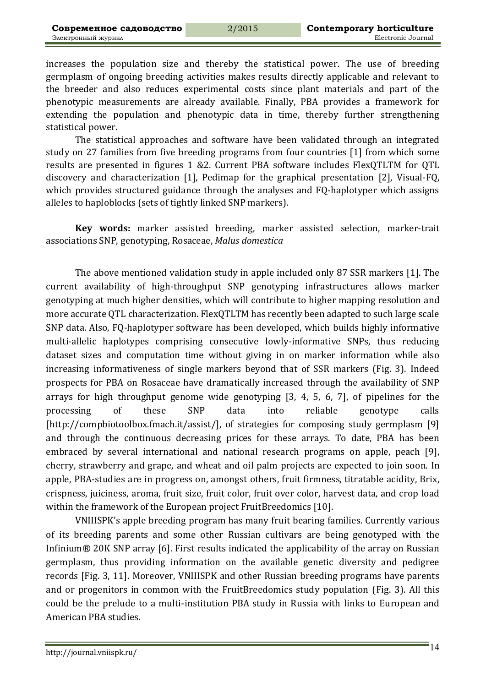increases the population size and thereby the statistical power. The use of breeding germplasm of ongoing breeding activities makes results directly applicable and relevant to the breeder and also reduces experimental costs since plant materials and part of the phenotypic measurements are already available. Finally, PBA provides a framework for extending the population and phenotypic data in time, thereby further strengthening statistical power.

The statistical approaches and software have been validated through an integrated study on 27 families from five breeding programs from four countries [1] from which some results are presented in figures 1 &2. Current PBA software includes FlexQTLTM for QTL discovery and characterization [1], Pedimap for the graphical presentation [2], Visual-FQ, which provides structured guidance through the analyses and FQ-haplotyper which assigns alleles to haploblocks (sets of tightly linked SNP markers).

Key words: marker assisted breeding, marker assisted selection, marker-trait associations SNP, genotyping, Rosaceae, *Malus domestica*

The above mentioned validation study in apple included only 87 SSR markers [1]. The current availability of high-throughput SNP genotyping infrastructures allows marker genotyping at much higher densities, which will contribute to higher mapping resolution and more accurate QTL characterization. FlexQTLTM has recently been adapted to such large scale SNP data. Also, FO-haplotyper software has been developed, which builds highly informative multi-allelic haplotypes comprising consecutive lowly-informative SNPs, thus reducing dataset sizes and computation time without giving in on marker information while also increasing informativeness of single markers beyond that of SSR markers (Fig. 3). Indeed prospects for PBA on Rosaceae have dramatically increased through the availability of SNP arrays for high throughput genome wide genotyping  $[3, 4, 5, 6, 7]$ , of pipelines for the processing of these SNP data into reliable genotype calls [http://compbiotoolbox.fmach.it/assist/], of strategies for composing study germplasm [9] and through the continuous decreasing prices for these arrays. To date, PBA has been embraced by several international and national research programs on apple, peach [9], cherry, strawberry and grape, and wheat and oil palm projects are expected to join soon. In apple, PBA-studies are in progress on, amongst others, fruit firmness, titratable acidity, Brix, crispness, juiciness, aroma, fruit size, fruit color, fruit over color, harvest data, and crop load within the framework of the European project FruitBreedomics [10].

VNIIISPK's apple breeding program has many fruit bearing families. Currently various of its breeding parents and some other Russian cultivars are being genotyped with the Infinium $\otimes$  20K SNP array [6]. First results indicated the applicability of the array on Russian germplasm, thus providing information on the available genetic diversity and pedigree records [Fig. 3, 11]. Moreover, VNIIISPK and other Russian breeding programs have parents and or progenitors in common with the FruitBreedomics study population (Fig. 3). All this could be the prelude to a multi-institution PBA study in Russia with links to European and American PBA studies.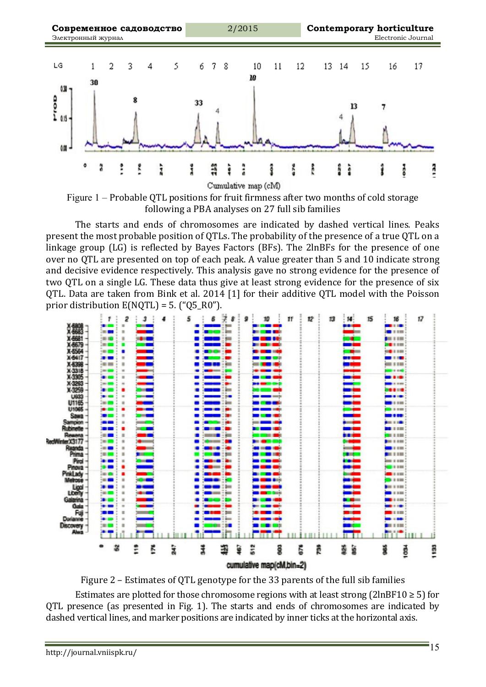

Figure  $1$  – Probable QTL positions for fruit firmness after two months of cold storage following a PBA analyses on 27 full sib families

The starts and ends of chromosomes are indicated by dashed vertical lines. Peaks present the most probable position of QTLs. The probability of the presence of a true QTL on a linkage group  $(LG)$  is reflected by Bayes Factors  $(BFs)$ . The 2lnBFs for the presence of one over no QTL are presented on top of each peak. A value greater than 5 and 10 indicate strong and decisive evidence respectively. This analysis gave no strong evidence for the presence of two QTL on a single LG. These data thus give at least strong evidence for the presence of six QTL. Data are taken from Bink et al. 2014 [1] for their additive QTL model with the Poisson prior distribution  $E(NQTL) = 5$ . ("Q5\_R0").



Figure  $2$  – Estimates of QTL genotype for the 33 parents of the full sib families

Estimates are plotted for those chromosome regions with at least strong (2lnBF10  $\geq$  5) for QTL presence (as presented in Fig. 1). The starts and ends of chromosomes are indicated by dashed vertical lines, and marker positions are indicated by inner ticks at the horizontal axis.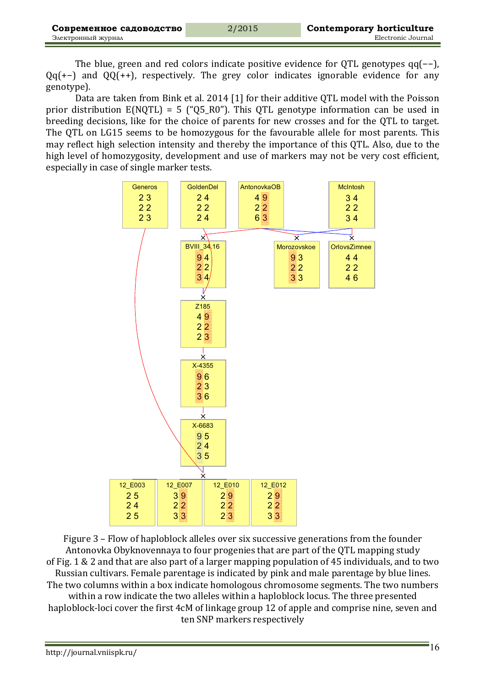The blue, green and red colors indicate positive evidence for QTL genotypes qq(-−), Qq(+-) and QQ(++), respectively. The grey color indicates ignorable evidence for any genotype).

Data are taken from Bink et al. 2014 [1] for their additive QTL model with the Poisson prior distribution  $E(NQTL) = 5$  ("Q5\_R0"). This QTL genotype information can be used in breeding decisions, like for the choice of parents for new crosses and for the QTL to target. The QTL on LG15 seems to be homozygous for the favourable allele for most parents. This may reflect high selection intensity and thereby the importance of this QTL. Also, due to the high level of homozygosity, development and use of markers may not be very cost efficient, especially in case of single marker tests.



Figure 3 – Flow of haploblock alleles over six successive generations from the founder Antonovka Obyknovennaya to four progenies that are part of the OTL mapping study of Fig. 1 & 2 and that are also part of a larger mapping population of 45 individuals, and to two Russian cultivars. Female parentage is indicated by pink and male parentage by blue lines. The two columns within a box indicate homologous chromosome segments. The two numbers within a row indicate the two alleles within a haploblock locus. The three presented haploblock-loci cover the first 4cM of linkage group 12 of apple and comprise nine, seven and ten SNP markers respectively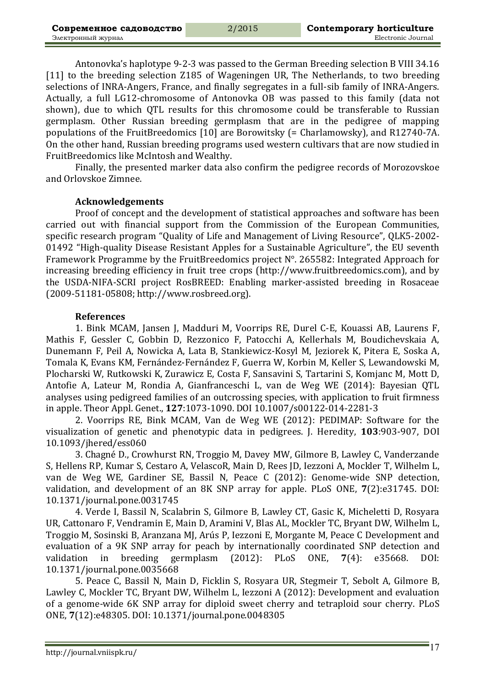Antonovka's haplotype 9-2-3 was passed to the German Breeding selection B VIII 34.16 [11] to the breeding selection Z185 of Wageningen UR, The Netherlands, to two breeding selections of INRA-Angers, France, and finally segregates in a full-sib family of INRA-Angers. Actually, a full LG12-chromosome of Antonovka OB was passed to this family (data not shown), due to which QTL results for this chromosome could be transferable to Russian germplasm. Other Russian breeding germplasm that are in the pedigree of mapping populations of the FruitBreedomics  $[10]$  are Borowitsky (= Charlamowsky), and R12740-7A. On the other hand, Russian breeding programs used western cultivars that are now studied in FruitBreedomics like McIntosh and Wealthy.

Finally, the presented marker data also confirm the pedigree records of Morozovskoe and Orlovskoe Zimnee.

### **Acknowledgements**

Proof of concept and the development of statistical approaches and software has been carried out with financial support from the Commission of the European Communities, specific research program "Quality of Life and Management of Living Resource", QLK5-2002-01492 "High-quality Disease Resistant Apples for a Sustainable Agriculture", the EU seventh Framework Programme by the FruitBreedomics project  $N^{\circ}$ . 265582: Integrated Approach for increasing breeding efficiency in fruit tree crops (http://www.fruitbreedomics.com), and by the USDA-NIFA-SCRI project RosBREED: Enabling marker-assisted breeding in Rosaceae (2009-51181-05808; http://www.rosbreed.org).

#### **References**

1. Bink MCAM, Jansen J, Madduri M, Voorrips RE, Durel C-E, Kouassi AB, Laurens F, Mathis F, Gessler C, Gobbin D, Rezzonico F, Patocchi A, Kellerhals M, Boudichevskaia A, Dunemann F, Peil A, Nowicka A, Lata B, Stankiewicz-Kosyl M, Jeziorek K, Pitera E, Soska A, Tomala K, Evans KM, Fernández-Fernández F, Guerra W, Korbin M, Keller S, Lewandowski M, Plocharski W, Rutkowski K, Zurawicz E, Costa F, Sansavini S, Tartarini S, Komjanc M, Mott D, Antofie A, Lateur M, Rondia A, Gianfranceschi L, van de Weg WE (2014): Bayesian QTL analyses using pedigreed families of an outcrossing species, with application to fruit firmness in apple. Theor Appl. Genet., **127**:1073-1090. DOI 10.1007/s00122-014-2281-3

2. Voorrips RE, Bink MCAM, Van de Weg WE (2012): PEDIMAP: Software for the visualization of genetic and phenotypic data in pedigrees. J. Heredity, **103**:903-907, DOI 10.1093/jhered/ess060

3. Chagné D., Crowhurst RN, Troggio M, Davey MW, Gilmore B, Lawley C, Vanderzande S, Hellens RP, Kumar S, Cestaro A, VelascoR, Main D, Rees JD, Iezzoni A, Mockler T, Wilhelm L, van de Weg WE, Gardiner SE, Bassil N, Peace C (2012): Genome-wide SNP detection, validation, and development of an 8K SNP array for apple. PLoS ONE, 7(2):e31745. DOI: 10.1371/journal.pone.0031745

4. Verde I, Bassil N, Scalabrin S, Gilmore B, Lawley CT, Gasic K, Micheletti D, Rosyara UR, Cattonaro F, Vendramin E, Main D, Aramini V, Blas AL, Mockler TC, Bryant DW, Wilhelm L, Troggio M, Sosinski B, Aranzana MJ, Arús P, Iezzoni E, Morgante M, Peace C Development and evaluation of a 9K SNP array for peach by internationally coordinated SNP detection and validation in breeding germplasm (2012): PLoS ONE, 7(4): e35668. DOI: 10.1371/journal.pone.0035668

5. Peace C, Bassil N, Main D, Ficklin S, Rosyara UR, Stegmeir T, Sebolt A, Gilmore B, Lawley C, Mockler TC, Bryant DW, Wilhelm L, Iezzoni A (2012): Development and evaluation of a genome-wide 6K SNP array for diploid sweet cherry and tetraploid sour cherry. PLoS ONE, **7**(12):e48305. DOI: 10.1371/journal.pone.0048305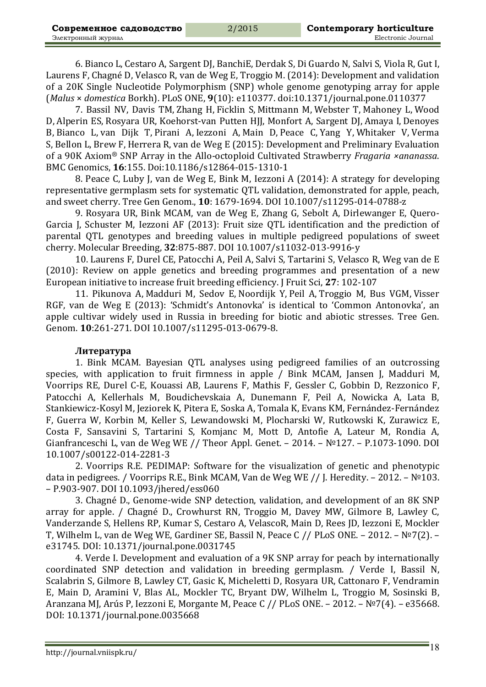6. Bianco L, Cestaro A, Sargent DJ, BanchiE, Derdak S, Di Guardo N, Salvi S, Viola R, Gut I, Laurens F, Chagné D, Velasco R, van de Weg E, Troggio M. (2014): Development and validation of a 20K Single Nucleotide Polymorphism (SNP) whole genome genotyping array for apple (*Malus* × *domestica* Borkh). PLoS ONE, **9**(10): e110377. doi:10.1371/journal.pone.0110377

7. Bassil NV, Davis TM, Zhang H, Ficklin S, Mittmann M, Webster T, Mahoney L, Wood D, Alperin ES, Rosyara UR, Koehorst-van Putten HJJ, Monfort A, Sargent DJ, Amaya I, Denoyes B, Bianco L, van Dijk T, Pirani A, Iezzoni A, Main D, Peace C, Yang Y, Whitaker V, Verma S, Bellon L, Brew F, Herrera R, van de Weg E (2015): Development and Preliminary Evaluation of a 90K Axiom<sup>®</sup> SNP Array in the Allo-octoploid Cultivated Strawberry *Fragaria ×ananassa*. BMC Genomics, **16**:155. Doi:10.1186/s12864-015-1310-1

8. Peace C, Luby J, van de Weg E, Bink M, Iezzoni A (2014): A strategy for developing representative germplasm sets for systematic QTL validation, demonstrated for apple, peach, and sweet cherry. Tree Gen Genom., **10**: 1679-1694. DOI 10.1007/s11295-014-0788-z

9. Rosyara UR, Bink MCAM, van de Weg E, Zhang G, Sebolt A, Dirlewanger E, Quero-Garcia J, Schuster M, Iezzoni AF (2013): Fruit size QTL identification and the prediction of parental QTL genotypes and breeding values in multiple pedigreed populations of sweet cherry. Molecular Breeding, **32**:875-887. DOI 10.1007/s11032-013-9916-y

10. Laurens F, Durel CE, Patocchi A, Peil A, Salvi S, Tartarini S, Velasco R, Weg van de E (2010): Review on apple genetics and breeding programmes and presentation of a new European initiative to increase fruit breeding efficiency. J Fruit Sci, 27: 102-107

11. Pikunova A, Madduri M, Sedov E, Noordijk Y, Peil A, Troggio M, Bus VGM, Visser RGF, van de Weg E (2013): 'Schmidt's Antonovka' is identical to 'Common Antonovka', an apple cultivar widely used in Russia in breeding for biotic and abiotic stresses. Tree Gen. Genom. **10**:261-271. DOI 10.1007/s11295-013-0679-8.

#### **Литература**

1. Bink MCAM. Bayesian QTL analyses using pedigreed families of an outcrossing species, with application to fruit firmness in apple / Bink MCAM, Jansen J, Madduri M, Voorrips RE, Durel C-E, Kouassi AB, Laurens F, Mathis F, Gessler C, Gobbin D, Rezzonico F, Patocchi A, Kellerhals M, Boudichevskaia A, Dunemann F, Peil A, Nowicka A, Lata B, Stankiewicz-Kosyl M, Jeziorek K, Pitera E, Soska A, Tomala K, Evans KM, Fernández-Fernández F, Guerra W, Korbin M, Keller S, Lewandowski M, Plocharski W, Rutkowski K, Zurawicz E, Costa F, Sansavini S, Tartarini S, Komjanc M, Mott D, Antofie A, Lateur M, Rondia A, Gianfranceschi L, van de Weg WE // Theor Appl. Genet. – 2014. –  $N<sup>0</sup>127.$  – P.1073-1090. DOI 10.1007/s00122-014-2281-3 

2. Voorrips R.E. PEDIMAP: Software for the visualization of genetic and phenotypic data in pedigrees. / Voorrips R.E., Bink MCAM, Van de Weg WE // J. Heredity. – 2012. – №103. – Р.903-907. DOI 10.1093/jhered/ess060

3. Chagné D., Genome-wide SNP detection, validation, and development of an 8K SNP array for apple. / Chagné D., Crowhurst RN, Troggio M, Davey MW, Gilmore B, Lawley C, Vanderzande S, Hellens RP, Kumar S, Cestaro A, VelascoR, Main D, Rees JD, Iezzoni E, Mockler T, Wilhelm L, van de Weg WE, Gardiner SE, Bassil N, Peace C // PLoS ONE. - 2012. - №7(2). e31745. DOI: 10.1371/journal.pone.0031745

4. Verde I. Development and evaluation of a 9K SNP array for peach by internationally coordinated SNP detection and validation in breeding germplasm. / Verde I, Bassil N, Scalabrin S, Gilmore B, Lawley CT, Gasic K, Micheletti D, Rosyara UR, Cattonaro F, Vendramin E, Main D, Aramini V, Blas AL, Mockler TC, Bryant DW, Wilhelm L, Troggio M, Sosinski B, Aranzana MJ, Arús P, Iezzoni E, Morgante M, Peace C // PLoS ONE. – 2012. – №7(4). – e35668. DOI: 10.1371/journal.pone.0035668